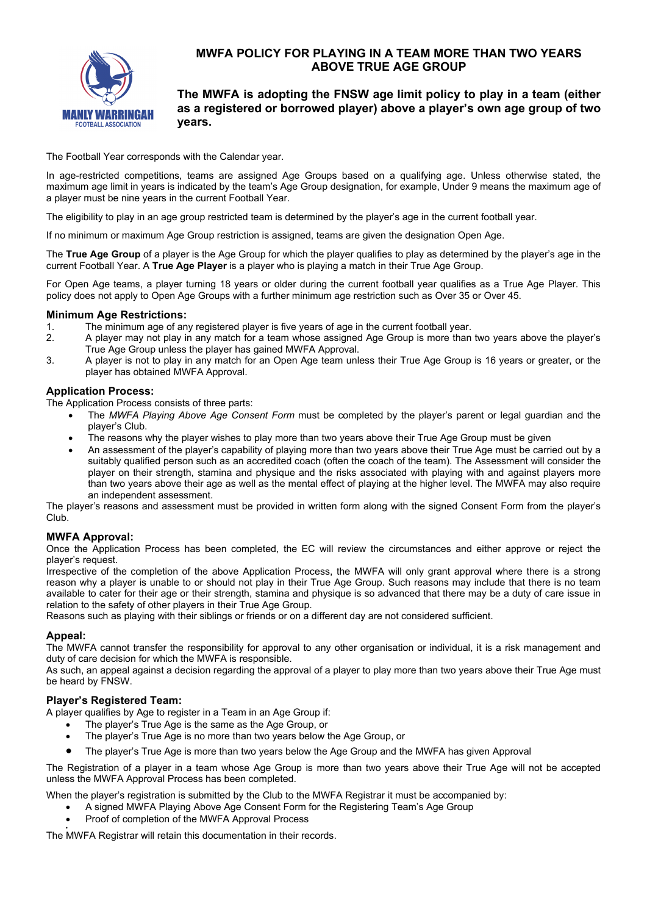

# **MWFA POLICY FOR PLAYING IN A TEAM MORE THAN TWO YEARS ABOVE TRUE AGE GROUP**

## **The MWFA is adopting the FNSW age limit policy to play in a team (either as a registered or borrowed player) above a player's own age group of two years.**

The Football Year corresponds with the Calendar year.

In age-restricted competitions, teams are assigned Age Groups based on a qualifying age. Unless otherwise stated, the maximum age limit in years is indicated by the team's Age Group designation, for example, Under 9 means the maximum age of a player must be nine years in the current Football Year.

The eligibility to play in an age group restricted team is determined by the player's age in the current football year.

If no minimum or maximum Age Group restriction is assigned, teams are given the designation Open Age.

The **True Age Group** of a player is the Age Group for which the player qualifies to play as determined by the player's age in the current Football Year. A **True Age Player** is a player who is playing a match in their True Age Group.

For Open Age teams, a player turning 18 years or older during the current football year qualifies as a True Age Player. This policy does not apply to Open Age Groups with a further minimum age restriction such as Over 35 or Over 45.

#### **Minimum Age Restrictions:**

- 1. The minimum age of any registered player is five years of age in the current football year.<br>2. A player may not play in any match for a team whose assigned Age Group is more than
- 2. A player may not play in any match for a team whose assigned Age Group is more than two years above the player's True Age Group unless the player has gained MWFA Approval.
- 3. A player is not to play in any match for an Open Age team unless their True Age Group is 16 years or greater, or the player has obtained MWFA Approval.

#### **Application Process:**

The Application Process consists of three parts:

- The *MWFA Playing Above Age Consent Form* must be completed by the player's parent or legal guardian and the player's Club.
- The reasons why the player wishes to play more than two years above their True Age Group must be given
- An assessment of the player's capability of playing more than two years above their True Age must be carried out by a suitably qualified person such as an accredited coach (often the coach of the team). The Assessment will consider the player on their strength, stamina and physique and the risks associated with playing with and against players more than two years above their age as well as the mental effect of playing at the higher level. The MWFA may also require an independent assessment.

The player's reasons and assessment must be provided in written form along with the signed Consent Form from the player's Club.

#### **MWFA Approval:**

Once the Application Process has been completed, the EC will review the circumstances and either approve or reject the player's request.

Irrespective of the completion of the above Application Process, the MWFA will only grant approval where there is a strong reason why a player is unable to or should not play in their True Age Group. Such reasons may include that there is no team available to cater for their age or their strength, stamina and physique is so advanced that there may be a duty of care issue in relation to the safety of other players in their True Age Group.

Reasons such as playing with their siblings or friends or on a different day are not considered sufficient.

#### **Appeal:**

The MWFA cannot transfer the responsibility for approval to any other organisation or individual, it is a risk management and duty of care decision for which the MWFA is responsible.

As such, an appeal against a decision regarding the approval of a player to play more than two years above their True Age must be heard by FNSW.

#### **Player's Registered Team:**

A player qualifies by Age to register in a Team in an Age Group if:

- The player's True Age is the same as the Age Group, or
- The player's True Age is no more than two years below the Age Group, or
- The player's True Age is more than two years below the Age Group and the MWFA has given Approval

The Registration of a player in a team whose Age Group is more than two years above their True Age will not be accepted unless the MWFA Approval Process has been completed.

When the player's registration is submitted by the Club to the MWFA Registrar it must be accompanied by:

- A signed MWFA Playing Above Age Consent Form for the Registering Team's Age Group
- Proof of completion of the MWFA Approval Process •

The MWFA Registrar will retain this documentation in their records.